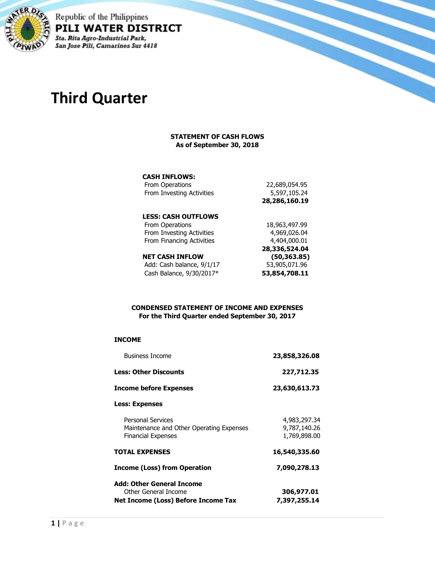

Republic of the Philippines PILI WATER DISTRICT Sta. Rita Agro-Industrial Park, San Jose Pili, Camarines Sur 4418

# **Third Quarter**

#### **STATEMENT OF CASH FLOWS As of September 30, 2018**

#### **CASH INFLOWS:**

|                           | 28,286,160.19 |
|---------------------------|---------------|
| From Investing Activities | 5,597,105.24  |
| From Operations           | 22,689,054.95 |

# **LESS: CASH OUTFLOWS**

| (50, 363.85)  |  |
|---------------|--|
| 28,336,524.04 |  |
| 4,404,000,01  |  |
| 4,969,026.04  |  |
| 18,963,497.99 |  |
|               |  |

| 16   Casil Ini Luw        | 199,999.997   |
|---------------------------|---------------|
| Add: Cash balance, 9/1/17 | 53,905,071.96 |
| Cash Balance, 9/30/2017*  | 53,854,708.11 |

#### **CONDENSED STATEMENT OF INCOME AND EXPENSES For the Third Quarter ended September 30, 2017**

#### **INCOME**

| <b>Business Income</b>                                                                            | 23,858,326.08                                |
|---------------------------------------------------------------------------------------------------|----------------------------------------------|
| Less: Other Discounts                                                                             | 227,712.35                                   |
| Income before Expenses                                                                            | 23,630,613.73                                |
| <b>Less: Expenses</b>                                                                             |                                              |
| <b>Personal Services</b><br>Maintenance and Other Operating Expenses<br><b>Financial Expenses</b> | 4,983,297.34<br>9,787,140.26<br>1,769,898.00 |
| <b>TOTAL EXPENSES</b>                                                                             | 16,540,335.60                                |
| Income (Loss) from Operation                                                                      | 7,090,278.13                                 |
| Add: Other General Income<br>Other General Income<br>Net Income (Loss) Before Income Tax          | 306,977.01                                   |
|                                                                                                   | 7,397,255.14                                 |